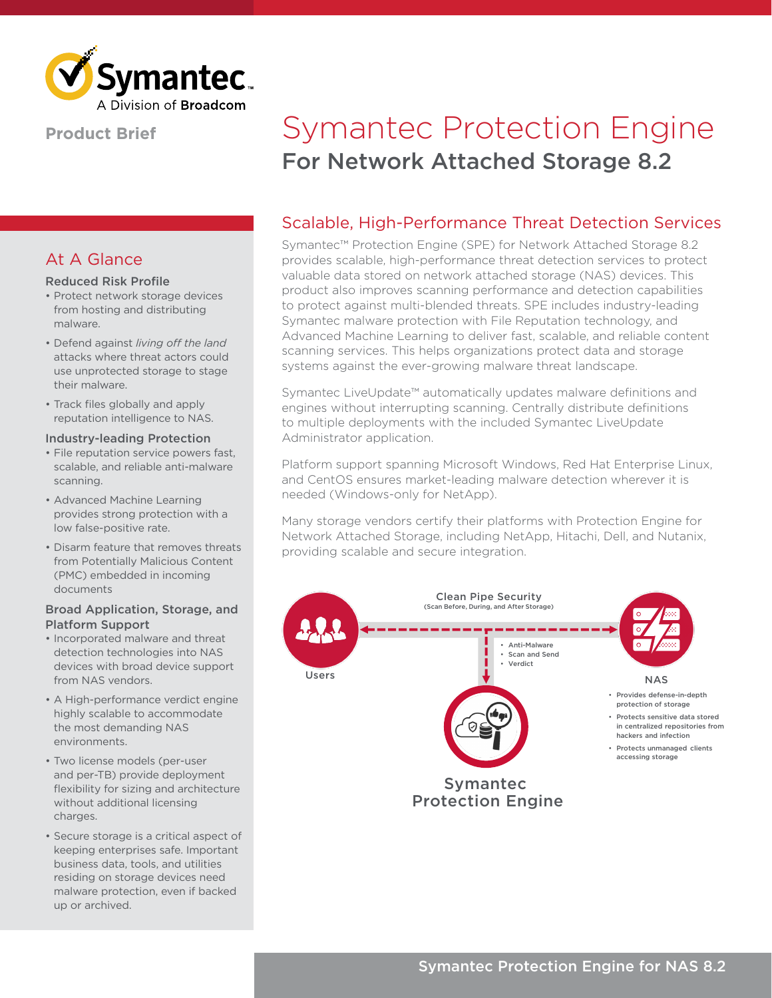

## **Product Brief**

## At A Glance

#### Reduced Risk Profile

- Protect network storage devices from hosting and distributing malware.
- Defend against *living off the land* attacks where threat actors could use unprotected storage to stage their malware.
- Track files globally and apply reputation intelligence to NAS.

#### Industry-leading Protection

- File reputation service powers fast, scalable, and reliable anti-malware scanning.
- Advanced Machine Learning provides strong protection with a low false-positive rate.
- Disarm feature that removes threats from Potentially Malicious Content (PMC) embedded in incoming documents

#### Broad Application, Storage, and Platform Support

- Incorporated malware and threat detection technologies into NAS devices with broad device support from NAS vendors.
- A High-performance verdict engine highly scalable to accommodate the most demanding NAS environments.
- Two license models (per-user and per-TB) provide deployment flexibility for sizing and architecture without additional licensing charges.
- Secure storage is a critical aspect of keeping enterprises safe. Important business data, tools, and utilities residing on storage devices need malware protection, even if backed up or archived.

# For Network Attached Storage 8.2 Symantec Protection Engine

## Scalable, High-Performance Threat Detection Services

Symantec™ Protection Engine (SPE) for Network Attached Storage 8.2 provides scalable, high-performance threat detection services to protect valuable data stored on network attached storage (NAS) devices. This product also improves scanning performance and detection capabilities to protect against multi-blended threats. SPE includes industry-leading Symantec malware protection with File Reputation technology, and Advanced Machine Learning to deliver fast, scalable, and reliable content scanning services. This helps organizations protect data and storage systems against the ever-growing malware threat landscape.

Symantec LiveUpdate™ automatically updates malware definitions and engines without interrupting scanning. Centrally distribute definitions to multiple deployments with the included Symantec LiveUpdate Administrator application.

Platform support spanning Microsoft Windows, Red Hat Enterprise Linux, and CentOS ensures market-leading malware detection wherever it is needed (Windows-only for NetApp).

Many storage vendors certify their platforms with Protection Engine for Network Attached Storage, including NetApp, Hitachi, Dell, and Nutanix, providing scalable and secure integration.

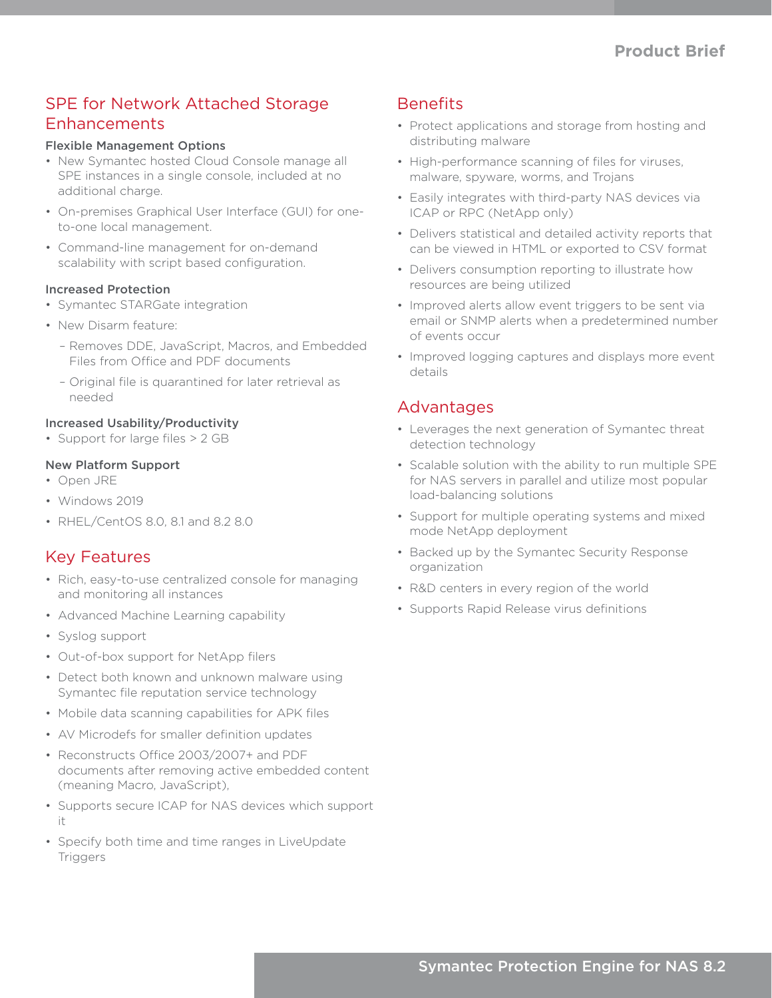# SPE for Network Attached Storage Enhancements

#### Flexible Management Options

- New Symantec hosted Cloud Console manage all SPE instances in a single console, included at no additional charge.
- On-premises Graphical User Interface (GUI) for oneto-one local management.
- Command-line management for on-demand scalability with script based configuration.

#### Increased Protection

- Symantec STARGate integration
- New Disarm feature:
	- Removes DDE, JavaScript, Macros, and Embedded Files from Office and PDF documents
	- Original file is quarantined for later retrieval as needed

## Increased Usability/Productivity

• Support for large files > 2 GB

### New Platform Support

- Open JRE
- Windows 2019
- RHEL/CentOS 8.0, 8.1 and 8.2 8.0

## Key Features

- Rich, easy-to-use centralized console for managing and monitoring all instances
- Advanced Machine Learning capability
- Syslog support
- Out-of-box support for NetApp filers
- Detect both known and unknown malware using Symantec file reputation service technology
- Mobile data scanning capabilities for APK files
- AV Microdefs for smaller definition updates
- Reconstructs Office 2003/2007+ and PDF documents after removing active embedded content (meaning Macro, JavaScript),
- Supports secure ICAP for NAS devices which support it
- Specify both time and time ranges in LiveUpdate **Triggers**

## **Benefits**

- Protect applications and storage from hosting and distributing malware
- High-performance scanning of files for viruses, malware, spyware, worms, and Trojans
- Easily integrates with third-party NAS devices via ICAP or RPC (NetApp only)
- Delivers statistical and detailed activity reports that can be viewed in HTML or exported to CSV format
- Delivers consumption reporting to illustrate how resources are being utilized
- Improved alerts allow event triggers to be sent via email or SNMP alerts when a predetermined number of events occur
- Improved logging captures and displays more event details

## Advantages

- Leverages the next generation of Symantec threat detection technology
- Scalable solution with the ability to run multiple SPE for NAS servers in parallel and utilize most popular load-balancing solutions
- Support for multiple operating systems and mixed mode NetApp deployment
- Backed up by the Symantec Security Response organization
- R&D centers in every region of the world
- Supports Rapid Release virus definitions